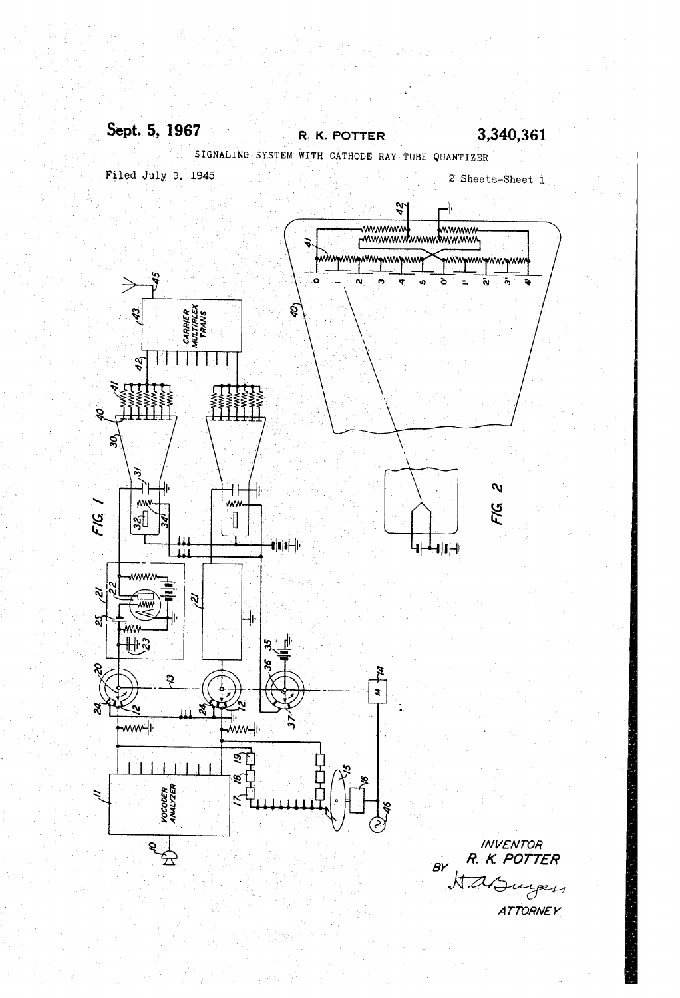#### Sept. 5, 1967 3,340,361 R. K. POTTER

SIGNALING SYSTEM WITH CATHODE RAY TUBE QUANTIZER Filed July 9, 1945 2 Sheets-Sheet 1

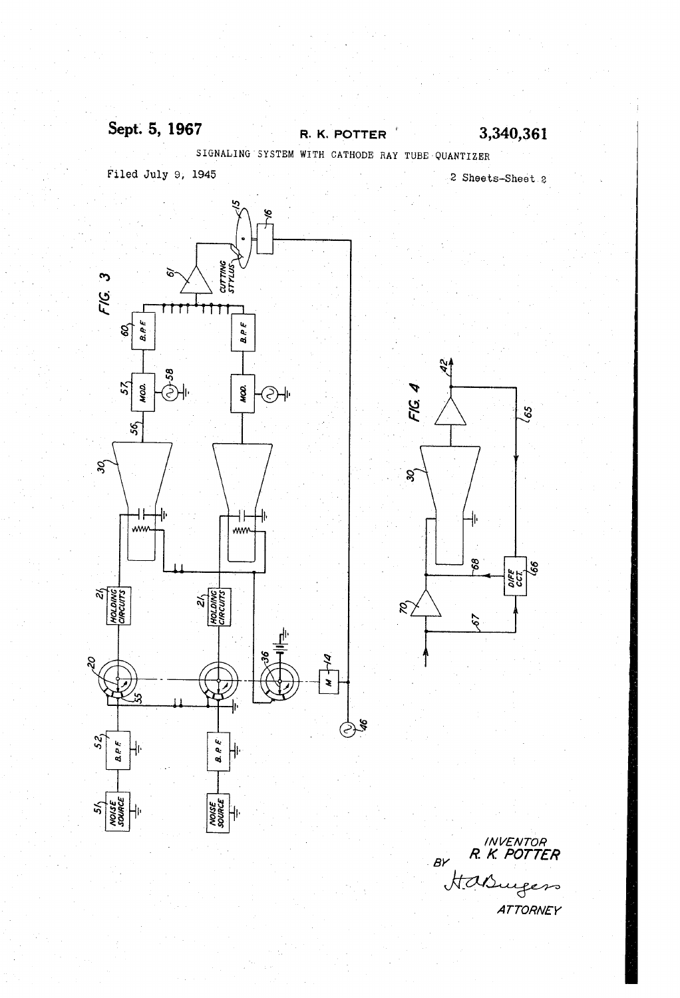## Sept. 5, 1967 R. K. POTTER 3,340,361

SIGNALING'SYSTEM WITH CATHODE RAY TUBE'QUANTIZER Filed July 9, 1945 ' 2 Sheets-Sheet 2

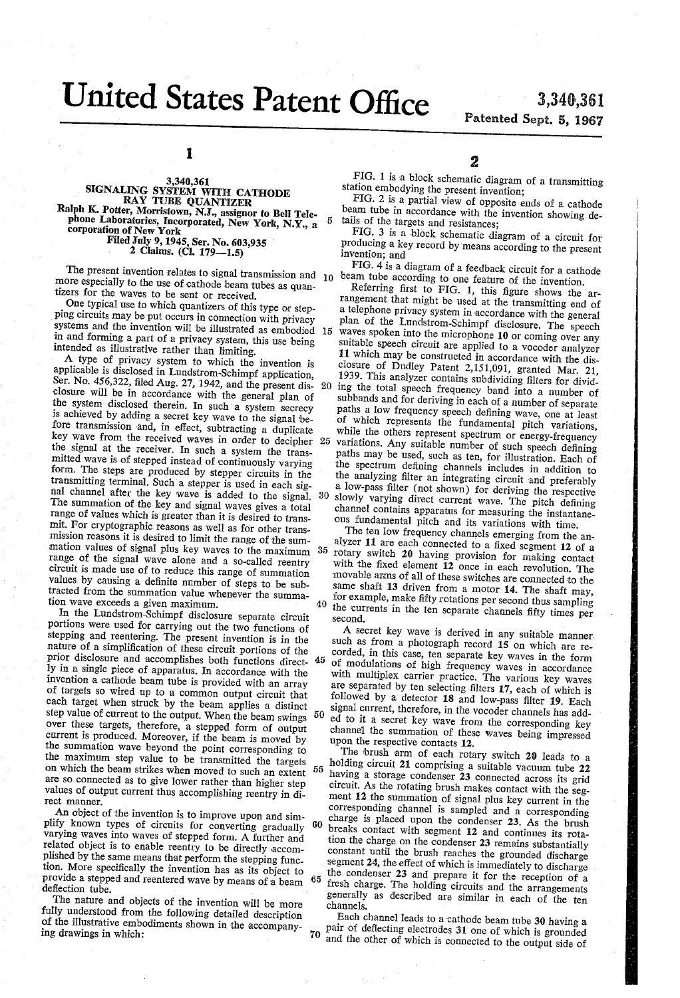# United States Patent Office 3,340,361

 $\bf 5$ 

# Patented Sept. 5, 1967

1

### 3,340,361 SIGNALING SYSTEM WITH CATHODE RAY TUBE QUANTIZER Ralph K. Potter, Morristown, N.J., assignor to Bell Tele phone Laboratories, Incorporated, New York, N.Y., a corporation of New York Filed July 9, 1945, Ser. No. 603,935 ' 2 Claims. (Cl. 179—1.5)

more especially to the use of cathode beam tubes as quantizers for the waves to be sent or received. The present invention relates to signal transmission and  $10$ 

One typical use to which quantizers of this type or step ping circuits may be put occurs in connection with privacy systems and the invention will be illustrated as embodied in and forming a part of a privacy system, this use being intended as illustrative rather than limiting. 15

A type of privacy system to which the invention is applicable is disclosed in Lundstrom-Schimpf application, Ser. No. 456,322, filed Aug. 27, 1942, and the present dis-20 closure will be in accordance with the general plan of the system disclosed therein. In such a system secrecy is achieved by adding a secret key wave to the signal be fore transmission and, in effect, subtracting a duplicate key wave from the received waves in order to decipher 25 the signal at the receiver. In such a system the trans mitted wave is of stepped instead of continuously varying form. The steps are produced by stepper circuits in the transmitting terminal. Such'a stepper is used in each sig nal channel after the key wave is added to the signal. -30 The summation of the key and signal waves gives a total range of values which is greater than it is desired to trans mit. For cryptographic reasons as well as for other trans mission reasons it is desired to limit the range of the sum mation values of signal plus key waves to the maximum 35 range of the signal wave alone and a so-called reentry circuit is made use of to reduce this range of summation values by causing a definite number of steps to be subtracted from the summation value whenever the summa tion wave exceeds a given maximum. 40

In the Lundstrom-Schimpf disclosure separate circuit portions were used for carrying out the two functions of stepping and reentering. The present invention is in the nature of a simplification of these circuit portions of the prior disclosure and accomplishes both functions direct-45 ly in a single piece of apparatus. In accordance with the invention a cathode beam tube is provided with an array of targets so wired up to a common output circuit that each target when struck by the beam applies a distinct step value of current to the output. When the beam swings 50 over these targets, therefore, a stepped form of output current is produced. Moreover, if the beam is moved by the summation wave beyond the point corresponding to the maximum step value to be transmitted the targets on which the beam strikes when moved to such an extent 55 are so connected as to give lower rather than higher step values of output current thus accomplishing reentry in di rect manner.

An object of the invention is to improve upon and sim plify known types of circuits for converting gradually varying waves into waves of stepped form. A further and related object is to enable reentry to be directly accomplished by the same means that perform the stepping function. More specifically the invention has as its object to provide a stepped and reentered wave by means of a beam deflection tube.<br>The nature and objects of the invention will be more 65

fully understood from the following detailed description of the illustrative embodiments shown in the accompany ing drawings in which:

FIG. 1 is a block schematic diagram of a transmitting station embodying the present invention;

FIG. 2 is a partial view of opposite ends of a cathode beam tube in accordance with the invention showing de tails of the targets and resistances;

FIG. 3 is a block schematic diagram of a circuit for producing a key record by 'means according to the present invention; and

FIG. 4 is a diagram of a feedback circuit for a cathode beam tube according to one feature of the invention.<br>Referring first to FIG. 1, this figure shows the ar-

rangement that might be used at the transmitting end of a telephone privacy system in accordance with the general plan of the Lundstrom-Schimpf disclosure. The speech waves spoken into the microphone 10 or coming over any suitable speech circuit are applied to a vocoder analyzer 11 Which may be constructed in accordance with the dis closure of Dudley Patent 2,151,091, granted Mar. 21, 1939. This analyzer contains subdividing filters for dividing the total speech frequency band into a number of subbands and for deriving in each of a number of separate paths a low frequency speech defining wave, one at least of which represents the fundamental pitch variations, while the others represent spectrum or energy-frequency variations. Any suitable number of such speech defining paths may be used, such as ten, for illustration. Each of the spectrum defining channels includes in addition to the analyzing filter an integrating circuit and preferably a low-pass filter (not shown) for deriving the respective slowly varying direct current wave. The pitch defining channel contains apparatus for measuring the instantaneous fundamental pitch and its variations with time.<br>The ten low frequency channels emerging from the an-

alyzer 11 are each connected to a fixed segment 12 of a rotary switch 20 having provision for making contact with the fixed element  $12$  once in each revolution. The movable arms of all of these switches are connected to the same shaft 13 driven from a motor 14. The shaft may, for example, make fifty rotations per second thus sampling the currents in the ten separate channels fifty times per second.<br>A secret key wave is derived in any suitable manner.

such as from a photograph record 15 on which are recorded, in this case, ten separate key waves in the form of modulations of high frequency waves in accordance are separated by ten selecting filters 17, each of which is followed by a detector 18 and low-pass filter 19. Each signal current, therefore, in the vocoder channels has add ed to it a secret key wave from the corresponding key channel the summation of these Waves being impressed upon the respective contacts 12.

60 The brush arm of each rotary switch 20 leads to a holding circuit 21 comprising a suitable vacuum tube 22 having a storage condenser  $\bar{2}3$  connected across its grid circuit. As the rotating brush makes contact with the seg ment 12 the summation of signal plus key current in the corresponding channel is sampled and a corresponding charge is placed upon the condenser 23. As the brush breaks contact with segment 12 and continues its rota tion the charge on the condenser 23 remains substantially constant until the brush reaches the grounded discharge segment 24, the effect of which is immediately to discharge the condenser 23 and prepare it for the reception of a fresh charge. The holding circuits and the arrangements generally as described are similar in each of the ten channels.

70 Each channel leads to a cathode beam tube 30 having a pair of deflecting electrodes 31 one of which is grounded and the other of which is connected to the output side of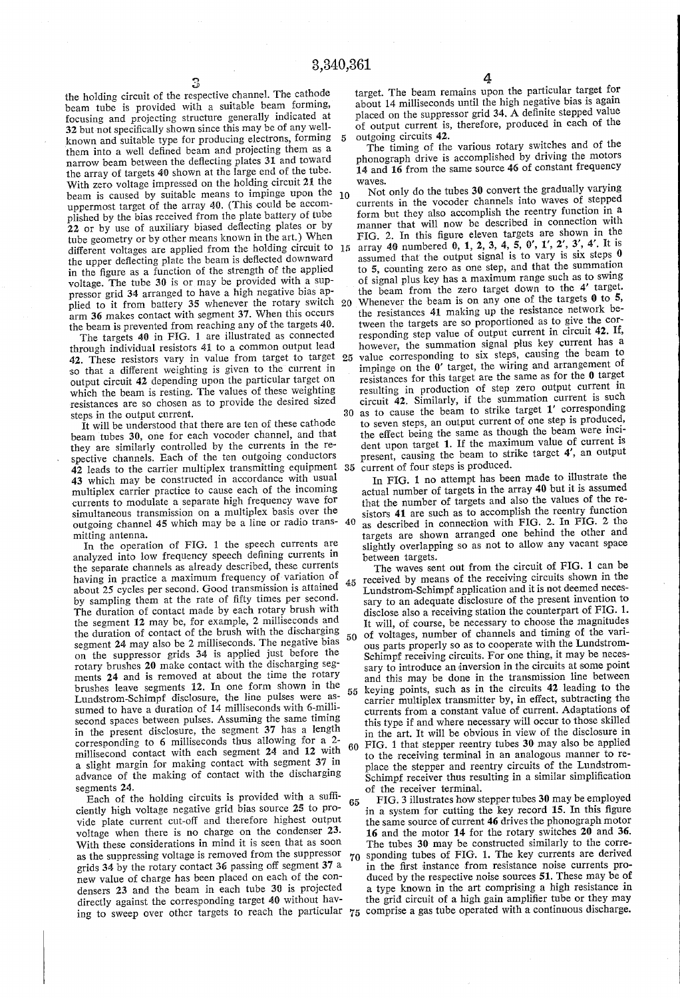the holding circuit of the respective channel. The cathode beam tube is provided with a suitable beam forming, focusing and projecting structure generally indicated at 32 but not specifically shown since this may be of any wellknown and suitable type for producing electrons, forming 5 them into a well defined beam and projecting them as a narrow beam between the deflecting plates 31 and toward the array of targets 40 shown at the large end of the tube. With zero voltage impressed on the holding circuit 21 the beam is caused by suitable means to impinge upon the 10 uppermost target of the array 40. (This could be accomplished by the bias received from the plate battery of tube 22 or by use of auxiliary biased deflecting plates or by tube geometry or by other means known in the art.) When different voltages are applied from the holding circuit to the upper deflecting plate the beam is deflected downward in the figure as a function of the strength of the applied voltage. The tube 30 is or may be provided with a sup pressor grid 34 arranged to have a high negative bias ap arm 36 makes contact with segment 37. When this occurs the beam is prevented from reaching any of the targets 40.

The targets 40 in FIG. 1 are illustrated as connected through individual resistors 41 to a common output lead 42. These resistors vary in value from target to target 25 so that a different weighting is given to the current in output circuit 42 depending upon the particular target on which the beam is resting. The values of these weighting resistances are so chosen as to provide the desired sized steps in the output current.

It will be understood that there are ten of these cathode beam tubes 30, one for each vocoder channel, and that they are similarly controlled by the currents in the re spective channels. Each of the ten outgoing conductors 42 leads to the carrier multiplex transmitting equipment 43 which may be constructed in accordance with usual multiplex carrier practice to cause each of the incoming currents to modulate a separate high frequency Wave for simultaneous transmission on a multiplex basis over the outgoing channel 45 which may be a line or radio trans mitting antenna.

In the operation of FIG. 1 the speech currents are analyzed into low frequency speech defining currents in the separate channels as already described, these currents having in practice a maximum frequency of variation of about 25 cycles per second. Good transmission is attained  $45$ by sampling them at the rate of fifty times per second. The duration of contact made by each rotary brush with the segment 12 may be, for example, 2 milliseconds and the duration of contact of the brush with the discharging segment 24 may also be 2 milliseconds. The negative bias on the suppressor grids 34 is applied just before the rotary brushes 20 make contact with the discharging seg ments 24 and is removed at about the time the rotary brushes leave segments 12. In one form shown in the Lundstrom-Schimpf disclosure, the line pulses were as sumed to have a duration of 14 milliseconds with 6-millisecond spaces between pulses. Assuming the same timing in the present disclosure, the segment 37 has a length corresponding to 6 milliseconds thus allowing for a 2 millisecond contact with each segment 24 and 12 with 60<br>a slight margin for making contact with segment 37 in advance of the making of contact with the discharging segments 24.

Each of the holding circuits is provided with a sufficiently high voltage negative grid bias source 25 to pro vide plate current cut-off and therefore highest output voltage when there is no charge on the condenser 23. With these considerations in mind it is seen that as soon as the suppressing voltage is removed from the suppressor grids 34 by the rotary contact 36 passing off segment 37 a new value of charge has been placed on each of the con densers 23 and the beam in each tube 30 is projected directly against the corresponding target 40 without hav ing to sweep over other targets to reach the particular 75 comprise a gas tube operated with a continuous discharge.

target. The beam remains upon the particular target for about 14 milliseconds until the high negative bias is again placed on the suppressor grid 34. A definite stepped value of output current is, therefore, produced in each of the outgoing circuits 42.

The timing of the various rotary switches and of the phonograph drive is accomplished by driving the motors 14 and 16 from the same source 46 of constant frequency waves.

Not only do the tubes 30 convert the gradually varying currents in the vocoder channels into waves of stepped manner that will now be described in connection with FIG. 2. In this figure eleven targets are shown in the array 40 numbered 0, 1, 2, 3, 4, 5, 0', 1', 2', 3', 4'. It is assumed that the output signal is to vary is six steps 0 to 5, counting zero as one step, and that the summation of signal plus key has a maximum range such as to swing the beam from the Zero target down to the 4' target. Whenever the beam is on any one of the targets  $0$  to 5, 20 the resistances 41 making up the resistance network be tween the targets are so proportioned as to give the cor responding step value of output current in circuit 42. If, however, the summation signal plus key current has a value corresponding to six steps, causing the beam to impinge on the  $0'$  target, the wiring and arrangement of resistances for this target are the same as for the 0 target resulting in production of step zero output current in circuit 42. Similarly, if the summation current is such as to cause the beam to strike target 1' corresponding 30 to seven steps, an output current of one step is produced, the effect being the same as though the beam were inci dent upon target 1. If the maximum value of current is present, causing the beam to strike target 4', an output current of four steps is produced. 35

40 In FIG. 1 no attempt has been made to illustrate the actual number of targets in the array 40 but it is assumed sistors 41 are such as to accomplish the reentry function as described in connection with FIG. 2. In FIG. 2 the targets are shown arranged one behind the other and slightly overlapping so as not to allow any vacant space

between targets. The waves sent out from the circuit of FIG. 1 can be received by means of the receiving circuits shown in the Lundstrom-Schimpf application and it is not deemed neces sary to an adequate disclosure of the present invention to disclose also a receiving station the counterpart of FIG. 1. It will, of course, be necessary to choose the magnitudes

50 of voltages, number of channels and timing of the various parts properly so as to cooperate with the Lundstrom-Schimpf receiving circuits. For one thing, it may be necessary to introduce an inversion in the circuits at some point and this may be done in the transmission line between

55 keying points, such as in the circuits 42 leading to the carrier multiplex transmitter by, in effect, subtracting the currents from a constant value of current. Adaptations of this type if and where necessary will occur to those skilled in the art. It will be obvious in view of the disclosure in

FIG. 1 that stepper reentry tubes 30 may also be applied to the receiving terminal in an analogous manner to re place the stepper and reentry circuits of the Lundstrom Schimpf receiver thus resulting in a similar simplification of the receiver terminal.

65  $70$  sponding tubes of FIG. 1. The key currents are derived FIG. 3 illustrates how stepper tubes 30 may be employed in a system for cutting the key record 15. In this figure the same source of current 46 drives the phonograph motor 16 and the motor 14 for the rotary switches 20 and 36'. The tubes 30 may be constructed similarly to the correin the first instance from resistance noise currents pro-

duced by the respective noise sources 51. These may be of a type known in the art comprising a high resistance in the grid circuit of a high gain amplifier tube or they may